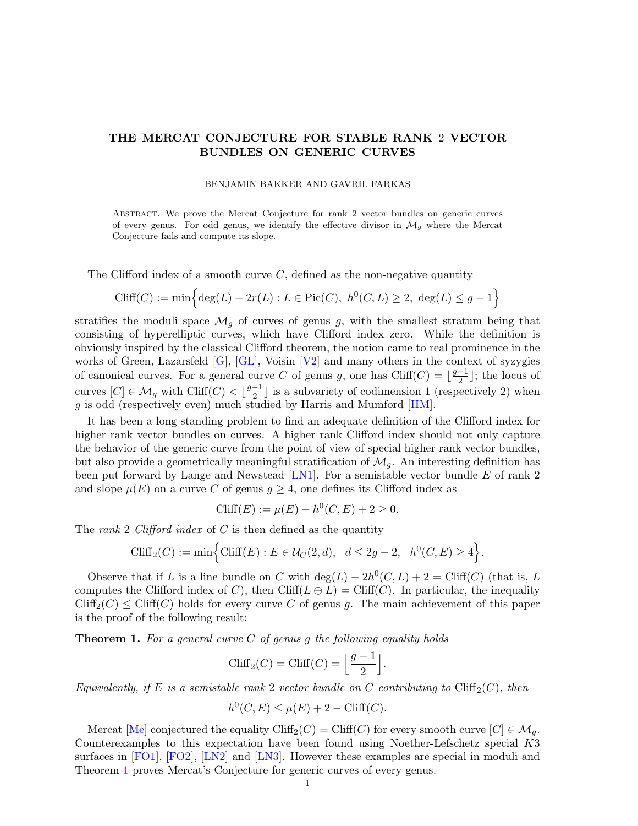# <span id="page-0-1"></span>THE MERCAT CONJECTURE FOR STABLE RANK 2 VECTOR BUNDLES ON GENERIC CURVES

#### BENJAMIN BAKKER AND GAVRIL FARKAS

Abstract. We prove the Mercat Conjecture for rank 2 vector bundles on generic curves of every genus. For odd genus, we identify the effective divisor in  $\mathcal{M}_q$  where the Mercat Conjecture fails and compute its slope.

The Clifford index of a smooth curve  $C$ , defined as the non-negative quantity

$$
\text{Cliff}(C) := \min \left\{ \deg(L) - 2r(L) : L \in \text{Pic}(C), \ h^0(C, L) \ge 2, \ \deg(L) \le g - 1 \right\}
$$

stratifies the moduli space  $\mathcal{M}_q$  of curves of genus g, with the smallest stratum being that consisting of hyperelliptic curves, which have Clifford index zero. While the definition is obviously inspired by the classical Clifford theorem, the notion came to real prominence in the works of Green, Lazarsfeld [\[G\]](#page-12-0), [\[GL\]](#page-12-1), Voisin [\[V2\]](#page-13-0) and many others in the context of syzygies of canonical curves. For a general curve C of genus g, one has Cliff(C) =  $\frac{g-1}{2}$  $\frac{-1}{2}$ ; the locus of curves  $[C] \in \mathcal{M}_g$  with Cliff $(C) < \lfloor \frac{g-1}{2} \rfloor$  $\frac{-1}{2}$  is a subvariety of codimension 1 (respectively 2) when g is odd (respectively even) much studied by Harris and Mumford [\[HM\]](#page-12-2).

It has been a long standing problem to find an adequate definition of the Clifford index for higher rank vector bundles on curves. A higher rank Clifford index should not only capture the behavior of the generic curve from the point of view of special higher rank vector bundles, but also provide a geometrically meaningful stratification of  $\mathcal{M}_q$ . An interesting definition has been put forward by Lange and Newstead  $[LN1]$ . For a semistable vector bundle  $E$  of rank 2 and slope  $\mu(E)$  on a curve C of genus  $g \geq 4$ , one defines its Clifford index as

$$
Cliff(E) := \mu(E) - h^0(C, E) + 2 \ge 0.
$$

The rank 2 Clifford index of  $C$  is then defined as the quantity

$$
\text{Cliff}_2(C) := \min \Big\{ \text{Cliff}(E) : E \in \mathcal{U}_C(2, d), \ d \le 2g - 2, \ h^0(C, E) \ge 4 \Big\}.
$$

Observe that if L is a line bundle on C with  $\deg(L) - 2h^0(C, L) + 2 = \text{Cliff}(C)$  (that is, L computes the Clifford index of C), then Cliff( $L \oplus L$ ) = Cliff(C). In particular, the inequality  $Cliff_2(C) \leq Cliff(C)$  holds for every curve C of genus g. The main achievement of this paper is the proof of the following result:

<span id="page-0-0"></span>**Theorem 1.** For a general curve C of genus g the following equality holds

$$
\mathrm{Cliff}_2(C) = \mathrm{Cliff}(C) = \left\lfloor \frac{g-1}{2} \right\rfloor.
$$

Equivalently, if E is a semistable rank 2 vector bundle on C contributing to  $Cliff_2(C)$ , then

$$
h^0(C, E) \le \mu(E) + 2 - \text{Cliff}(C).
$$

Mercat [\[Me\]](#page-13-1) conjectured the equality Cliff<sub>2</sub>(C) = Cliff(C) for every smooth curve  $[C] \in \mathcal{M}_q$ . Counterexamples to this expectation have been found using Noether-Lefschetz special K3 surfaces in [\[FO1\]](#page-12-4), [\[FO2\]](#page-12-5), [\[LN2\]](#page-12-6) and [\[LN3\]](#page-12-7). However these examples are special in moduli and Theorem [1](#page-0-0) proves Mercat's Conjecture for generic curves of every genus.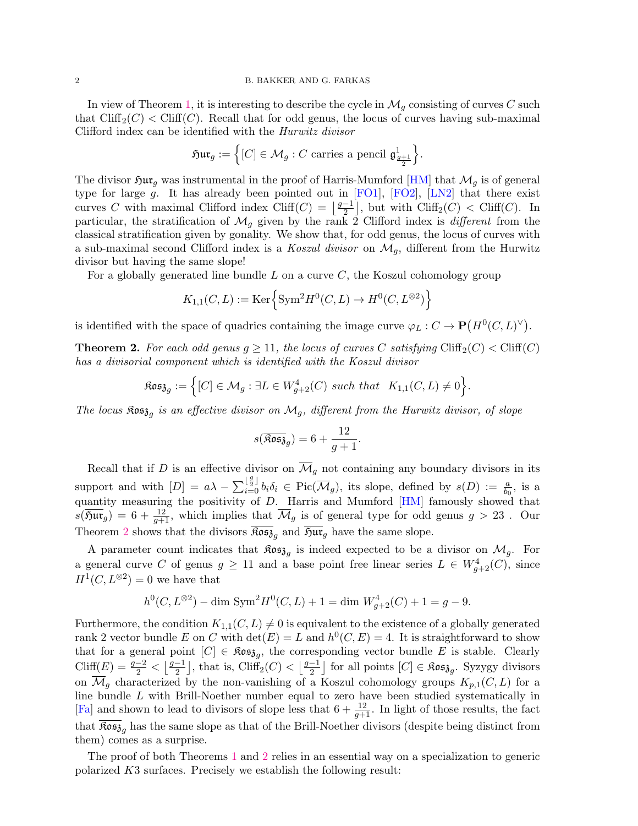In view of Theorem [1,](#page-0-0) it is interesting to describe the cycle in  $\mathcal{M}_g$  consisting of curves C such that  $\mathrm{Cliff}_2(C) < \mathrm{Cliff}(C)$ . Recall that for odd genus, the locus of curves having sub-maximal Clifford index can be identified with the Hurwitz divisor

$$
\mathfrak{Hur}_g := \left\{ [C] \in \mathcal{M}_g : C \text{ carries a pencil } \mathfrak{g}_{\frac{g+1}{2}}^1 \right\}.
$$

The divisor  $\mathfrak{Sur}_g$  was instrumental in the proof of Harris-Mumford [\[HM\]](#page-12-2) that  $\mathcal{M}_g$  is of general type for large g. It has already been pointed out in  $[FO1]$ ,  $[FO2]$ ,  $[LN2]$  that there exist curves C with maximal Clifford index Cliff(C) =  $\frac{g-1}{2}$  $\frac{-1}{2}$ , but with Cliff<sub>2</sub>(C) < Cliff(C). In particular, the stratification of  $\mathcal{M}_g$  given by the rank 2 Clifford index is *different* from the classical stratification given by gonality. We show that, for odd genus, the locus of curves with a sub-maximal second Clifford index is a Koszul divisor on  $\mathcal{M}_q$ , different from the Hurwitz divisor but having the same slope!

For a globally generated line bundle  $L$  on a curve  $C$ , the Koszul cohomology group

$$
K_{1,1}(C,L) := \text{Ker}\left\{\text{Sym}^2 H^0(C,L) \to H^0(C,L^{\otimes 2})\right\}
$$

is identified with the space of quadrics containing the image curve  $\varphi_L : C \to \mathbf{P}(H^0(C, L)^{\vee}).$ 

<span id="page-1-0"></span>**Theorem 2.** For each odd genus  $g \ge 11$ , the locus of curves C satisfying Cliff<sub>2</sub>(C)  $<$  Cliff<sub>(C)</sub> has a divisorial component which is identified with the Koszul divisor

$$
\mathfrak{Kos}_{\mathfrak{F}_g} := \Big\{ [C] \in \mathcal{M}_g : \exists L \in W^4_{g+2}(C) \text{ such that } K_{1,1}(C, L) \neq 0 \Big\}.
$$

The locus  $\mathfrak{K}$ os $\mathfrak{z}_g$  is an effective divisor on  $\mathcal{M}_g$ , different from the Hurwitz divisor, of slope

$$
s(\overline{\mathfrak{Kos}}_{g})=6+\frac{12}{g+1}.
$$

Recall that if D is an effective divisor on  $\overline{\mathcal{M}}_g$  not containing any boundary divisors in its support and with  $[D] = a\lambda - \sum_{i=0}^{\lfloor \frac{g}{2} \rfloor} b_i \delta_i \in Pic(\overline{\mathcal{M}}_g)$ , its slope, defined by  $s(D) := \frac{a}{b_0}$ , is a quantity measuring the positivity of D. Harris and Mumford [\[HM\]](#page-12-2) famously showed that  $s(\overline{\mathfrak{Sur}}_g) = 6 + \frac{12}{g+1}$ , which implies that  $\overline{\mathcal{M}}_g$  is of general type for odd genus  $g > 23$ . Our Theorem [2](#page-1-0) shows that the divisors  $\widehat{\text{Ros}}_{g}$  and  $\widehat{\text{Sur}}_g$  have the same slope.

A parameter count indicates that  $\mathfrak{Kos}_{\mathfrak{z}_g}$  is indeed expected to be a divisor on  $\mathcal{M}_g$ . For a general curve C of genus  $g \geq 11$  and a base point free linear series  $L \in W^4_{g+2}(C)$ , since  $H^1(C, L^{\otimes 2}) = 0$  we have that

$$
h^{0}(C, L^{\otimes 2}) - \dim \text{Sym}^{2} H^{0}(C, L) + 1 = \dim W_{g+2}^{4}(C) + 1 = g - 9.
$$

Furthermore, the condition  $K_{1,1}(C, L) \neq 0$  is equivalent to the existence of a globally generated rank 2 vector bundle E on C with  $\det(E) = L$  and  $h^0(C, E) = 4$ . It is straightforward to show that for a general point  $[C] \in \mathfrak{Kos}_{\mathfrak{F}_g}$ , the corresponding vector bundle E is stable. Clearly Cliff(E) =  $\frac{g-2}{2} < \left\lfloor \frac{g-1}{2} \right\rfloor$  $\left\lfloor \frac{-1}{2} \right\rfloor$ , that is, Cliff<sub>2</sub> $(C) < \left\lfloor \frac{g-1}{2} \right\rfloor$  $\frac{-1}{2}$  for all points  $[C] \in \mathfrak{Kos}\mathfrak{z}_{g}$ . Syzygy divisors on  $\overline{\mathcal{M}}_q$  characterized by the non-vanishing of a Koszul cohomology groups  $K_{p,1}(C, L)$  for a line bundle L with Brill-Noether number equal to zero have been studied systematically in [\[Fa\]](#page-12-8) and shown to lead to divisors of slope less that  $6 + \frac{12}{g+1}$ . In light of those results, the fact that  $\mathfrak{Kos}_{3g}$  has the same slope as that of the Brill-Noether divisors (despite being distinct from them) comes as a surprise.

The proof of both Theorems [1](#page-0-0) and [2](#page-1-0) relies in an essential way on a specialization to generic polarized K3 surfaces. Precisely we establish the following result: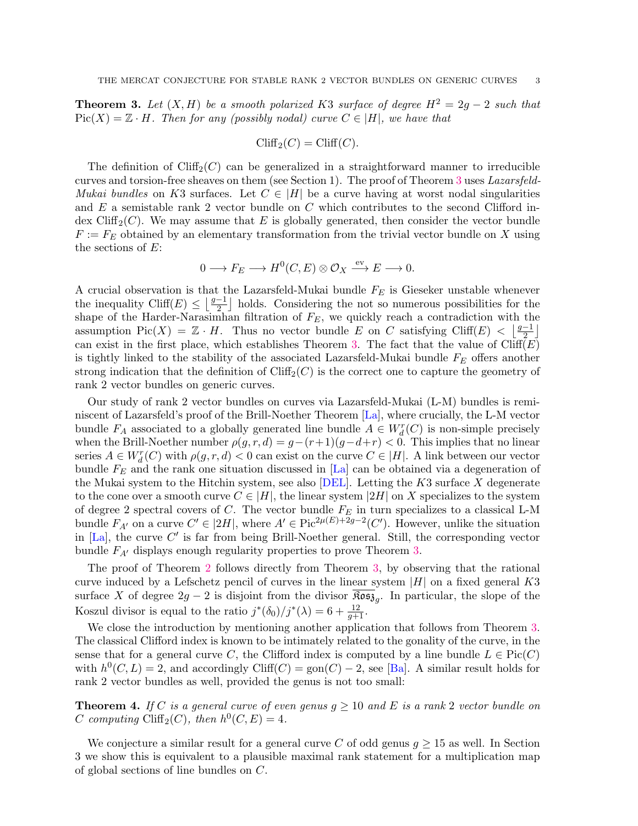<span id="page-2-0"></span>**Theorem 3.** Let  $(X, H)$  be a smooth polarized K3 surface of degree  $H^2 = 2g - 2$  such that  $Pic(X) = \mathbb{Z} \cdot H$ . Then for any (possibly nodal) curve  $C \in |H|$ , we have that

$$
\operatorname{Cliff}_2(C) = \operatorname{Cliff}(C).
$$

The definition of  $Cliff_2(C)$  can be generalized in a straightforward manner to irreducible curves and torsion-free sheaves on them (see Section 1). The proof of Theorem [3](#page-2-0) uses Lazarsfeld-*Mukai bundles* on K3 surfaces. Let  $C \in |H|$  be a curve having at worst nodal singularities and  $E$  a semistable rank 2 vector bundle on  $C$  which contributes to the second Clifford index Cliff<sub>2</sub> $(C)$ . We may assume that E is globally generated, then consider the vector bundle  $F := F_E$  obtained by an elementary transformation from the trivial vector bundle on X using the sections of  $E$ :

$$
0 \longrightarrow F_E \longrightarrow H^0(C, E) \otimes \mathcal{O}_X \xrightarrow{\text{ev}} E \longrightarrow 0.
$$

A crucial observation is that the Lazarsfeld-Mukai bundle  $F_E$  is Gieseker unstable whenever the inequality Cliff(E)  $\leq \frac{g-1}{2}$  $\frac{-1}{2}$  holds. Considering the not so numerous possibilities for the shape of the Harder-Narasimhan filtration of  $F_E$ , we quickly reach a contradiction with the assumption Pic(X) =  $\mathbb{Z} \cdot H$ . Thus no vector bundle E on C satisfying Cliff(E) <  $\frac{g-1}{2}$  $\frac{-1}{2}$ can exist in the first place, which establishes Theorem [3.](#page-2-0) The fact that the value of  $Cliff(E)$ is tightly linked to the stability of the associated Lazarsfeld-Mukai bundle  $F_E$  offers another strong indication that the definition of  $Cliff_2(C)$  is the correct one to capture the geometry of rank 2 vector bundles on generic curves.

Our study of rank 2 vector bundles on curves via Lazarsfeld-Mukai (L-M) bundles is reminiscent of Lazarsfeld's proof of the Brill-Noether Theorem [\[La\]](#page-13-2), where crucially, the L-M vector bundle  $F_A$  associated to a globally generated line bundle  $A \in W_d^r(C)$  is non-simple precisely when the Brill-Noether number  $\rho(g, r, d) = g - (r+1)(g-d+r) < 0$ . This implies that no linear series  $A \in W_d^r(C)$  with  $\rho(g, r, d) < 0$  can exist on the curve  $C \in |H|$ . A link between our vector bundle  $F_E$  and the rank one situation discussed in [\[La\]](#page-13-2) can be obtained via a degeneration of the Mukai system to the Hitchin system, see also [\[DEL\]](#page-12-9). Letting the  $K3$  surface X degenerate to the cone over a smooth curve  $C \in |H|$ , the linear system  $|2H|$  on X specializes to the system of degree 2 spectral covers of C. The vector bundle  $F_E$  in turn specializes to a classical L-M bundle  $F_{A'}$  on a curve  $C' \in |2H|$ , where  $A' \in Pic^{2\mu(E)+2g-2}(C')$ . However, unlike the situation in  $[La]$ , the curve  $C'$  is far from being Brill-Noether general. Still, the corresponding vector bundle  $F_{A'}$  displays enough regularity properties to prove Theorem [3.](#page-2-0)

The proof of Theorem [2](#page-1-0) follows directly from Theorem [3,](#page-2-0) by observing that the rational curve induced by a Lefschetz pencil of curves in the linear system  $|H|$  on a fixed general K3 surface X of degree  $2g - 2$  is disjoint from the divisor  $\widehat{\text{Res}}_{3g}$ . In particular, the slope of the Koszul divisor is equal to the ratio  $j^*(\delta_0)/j^*(\lambda) = 6 + \frac{12}{g+1}$ .

We close the introduction by mentioning another application that follows from Theorem [3.](#page-2-0) The classical Clifford index is known to be intimately related to the gonality of the curve, in the sense that for a general curve C, the Clifford index is computed by a line bundle  $L \in Pic(C)$ with  $h^0(C, L) = 2$ , and accordingly Cliff(C) = gon(C) – 2, see [\[Ba\]](#page-12-10). A similar result holds for rank 2 vector bundles as well, provided the genus is not too small:

<span id="page-2-1"></span>**Theorem 4.** If C is a general curve of even genus  $g \ge 10$  and E is a rank 2 vector bundle on C computing Cliff<sub>2</sub>(C), then  $h^0(C, E) = 4$ .

We conjecture a similar result for a general curve C of odd genus  $g \geq 15$  as well. In Section 3 we show this is equivalent to a plausible maximal rank statement for a multiplication map of global sections of line bundles on C.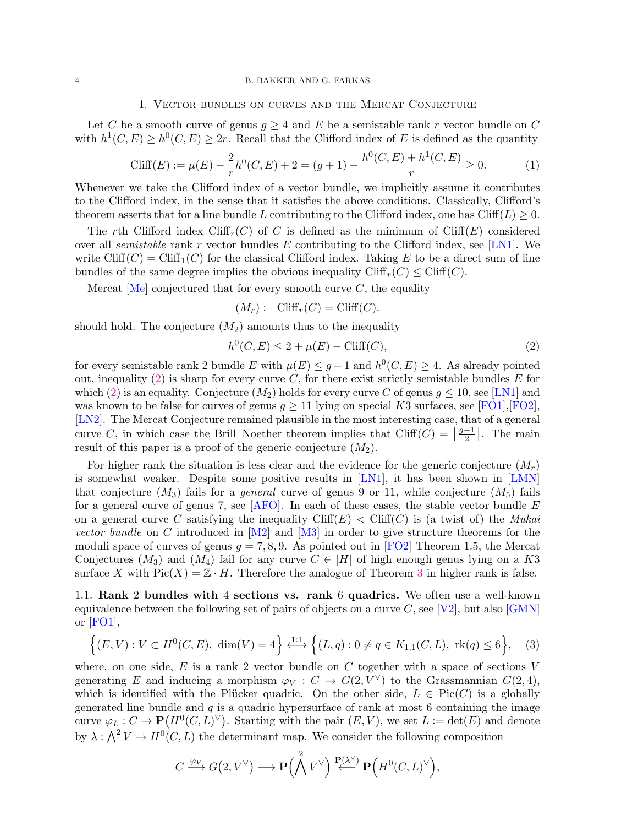### 4 B. BAKKER AND G. FARKAS

#### 1. Vector bundles on curves and the Mercat Conjecture

Let C be a smooth curve of genus  $g \geq 4$  and E be a semistable rank r vector bundle on C with  $h^1(C, E) \geq h^0(C, E) \geq 2r$ . Recall that the Clifford index of E is defined as the quantity

<span id="page-3-2"></span>
$$
\text{Cliff}(E) := \mu(E) - \frac{2}{r}h^0(C, E) + 2 = (g+1) - \frac{h^0(C, E) + h^1(C, E)}{r} \ge 0.
$$
 (1)

Whenever we take the Clifford index of a vector bundle, we implicitly assume it contributes to the Clifford index, in the sense that it satisfies the above conditions. Classically, Clifford's theorem asserts that for a line bundle L contributing to the Clifford index, one has Cliff(L)  $\geq 0$ .

The rth Clifford index Cliff<sub>r</sub>(C) of C is defined as the minimum of Cliff(E) considered over all semistable rank r vector bundles E contributing to the Clifford index, see [\[LN1\]](#page-12-3). We write  $Cliff(C) = Cliff_1(C)$  for the classical Clifford index. Taking E to be a direct sum of line bundles of the same degree implies the obvious inequality  $Cliff_r(C) \leq Cliff(C)$ .

Mercat  $[Me]$  conjectured that for every smooth curve C, the equality

$$
(M_r): \text{Cliff}_r(C) = \text{Cliff}(C).
$$

should hold. The conjecture  $(M_2)$  amounts thus to the inequality

<span id="page-3-0"></span>
$$
h^{0}(C, E) \le 2 + \mu(E) - \text{Cliff}(C),\tag{2}
$$

for every semistable rank 2 bundle E with  $\mu(E) \leq g-1$  and  $h^0(C, E) \geq 4$ . As already pointed out, inequality [\(2\)](#page-3-0) is sharp for every curve  $C$ , for there exist strictly semistable bundles  $E$  for which [\(2\)](#page-3-0) is an equality. Conjecture  $(M_2)$  holds for every curve C of genus  $g \le 10$ , see [\[LN1\]](#page-12-3) and was known to be false for curves of genus  $g \ge 11$  lying on special K3 surfaces, see [\[FO1\]](#page-12-4), [\[FO2\]](#page-12-5), [\[LN2\]](#page-12-6). The Mercat Conjecture remained plausible in the most interesting case, that of a general curve C, in which case the Brill–Noether theorem implies that Cliff(C) =  $\frac{g-1}{2}$  $\frac{-1}{2}$ . The main result of this paper is a proof of the generic conjecture  $(M_2)$ .

For higher rank the situation is less clear and the evidence for the generic conjecture  $(M_r)$ is somewhat weaker. Despite some positive results in [\[LN1\]](#page-12-3), it has been shown in [\[LMN\]](#page-12-11) that conjecture  $(M_3)$  fails for a *general* curve of genus 9 or 11, while conjecture  $(M_5)$  fails for a general curve of genus 7, see  $[AFO]$ . In each of these cases, the stable vector bundle  $E$ on a general curve C satisfying the inequality  $Cliff(E) < Cliff(C)$  is (a twist of) the *Mukai* vector bundle on C introduced in  $[M2]$  and  $[M3]$  in order to give structure theorems for the moduli space of curves of genus  $g = 7, 8, 9$ . As pointed out in [\[FO2\]](#page-12-5) Theorem 1.5, the Mercat Conjectures  $(M_3)$  and  $(M_4)$  fail for any curve  $C \in |H|$  of high enough genus lying on a K3 surface X with  $Pic(X) = \mathbb{Z} \cdot H$ . Therefore the analogue of Theorem [3](#page-2-0) in higher rank is false.

1.1. Rank 2 bundles with 4 sections vs. rank 6 quadrics. We often use a well-known equivalence between the following set of pairs of objects on a curve C, see [\[V2\]](#page-13-0), but also  $\Gamma$ or [\[FO1\]](#page-12-4),

<span id="page-3-1"></span>
$$
\left\{(E,V): V \subset H^0(C,E), \dim(V) = 4\right\} \xleftarrow{1:1} \left\{(L,q): 0 \neq q \in K_{1,1}(C,L), \text{ rk}(q) \leq 6\right\},\tag{3}
$$

where, on one side,  $E$  is a rank 2 vector bundle on  $C$  together with a space of sections  $V$ generating E and inducing a morphism  $\varphi_V : C \to G(2, V^{\vee})$  to the Grassmannian  $G(2, 4)$ , which is identified with the Plücker quadric. On the other side,  $L \in Pic(C)$  is a globally generated line bundle and  $q$  is a quadric hypersurface of rank at most 6 containing the image curve  $\varphi_L : C \to \mathbf{P}(H^0(C, L)^{\vee})$ . Starting with the pair  $(E, V)$ , we set  $L := \det(E)$  and denote by  $\lambda: \bigwedge^2 V \to H^0(C, L)$  the determinant map. We consider the following composition

$$
C \xrightarrow{\varphi_V} G(2, V^{\vee}) \longrightarrow \mathbf{P} \Big(\bigwedge^2 V^{\vee} \Big) \xleftarrow{\mathbf{P}(\lambda^{\vee})} \mathbf{P} \Big(H^0(C, L)^{\vee} \Big),
$$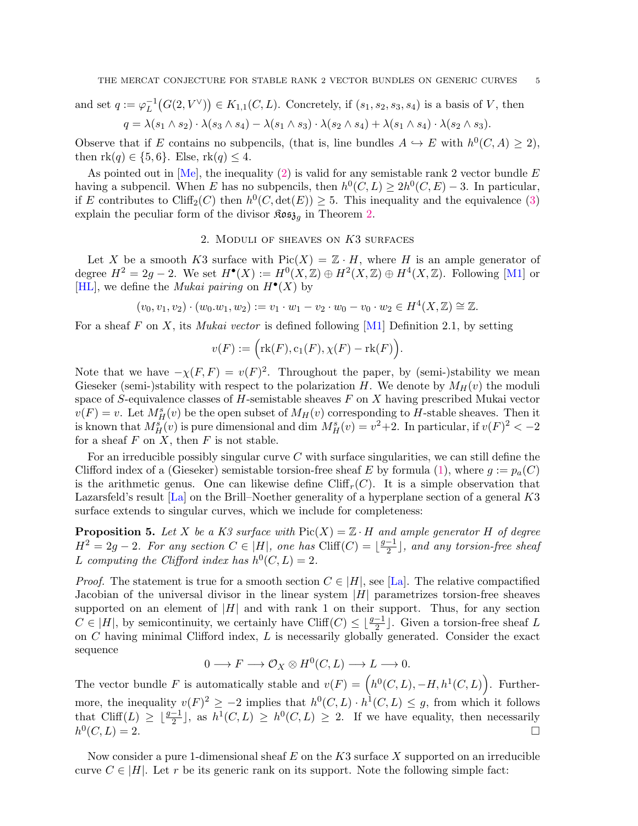and set 
$$
q := \varphi_L^{-1}(G(2, V^{\vee})) \in K_{1,1}(C, L)
$$
. Concretely, if  $(s_1, s_2, s_3, s_4)$  is a basis of  $V$ , then  
\n
$$
q = \lambda(s_1 \wedge s_2) \cdot \lambda(s_3 \wedge s_4) - \lambda(s_1 \wedge s_3) \cdot \lambda(s_2 \wedge s_4) + \lambda(s_1 \wedge s_4) \cdot \lambda(s_2 \wedge s_3).
$$

Observe that if E contains no subpencils, (that is, line bundles  $A \hookrightarrow E$  with  $h^0(C, A) \geq 2$ ), then  $rk(q) \in \{5,6\}$ . Else,  $rk(q) \leq 4$ .

As pointed out in [\[Me\]](#page-13-1), the inequality [\(2\)](#page-3-0) is valid for any semistable rank 2 vector bundle  $E$ having a subpencil. When E has no subpencils, then  $h^0(C, L) \geq 2h^0(C, E) - 3$ . In particular, if E contributes to Cliff<sub>2</sub>(C) then  $h^0(C, \det(E)) \geq 5$ . This inequality and the equivalence [\(3\)](#page-3-1) explain the peculiar form of the divisor  $\mathfrak{Kos}_{\mathfrak{z}_g}$  in Theorem [2.](#page-1-0)

## 2. MODULI OF SHEAVES ON  $K3$  surfaces

Let X be a smooth K3 surface with  $Pic(X) = \mathbb{Z} \cdot H$ , where H is an ample generator of degree  $H^2 = 2g - 2$ . We set  $H^{\bullet}(X) := H^0(X, \mathbb{Z}) \oplus H^2(X, \mathbb{Z}) \oplus H^4(X, \mathbb{Z})$ . Following [\[M1\]](#page-13-5) or [\[HL\]](#page-12-14), we define the *Mukai pairing* on  $H^{\bullet}(X)$  by

$$
(v_0, v_1, v_2) \cdot (w_0. w_1, w_2) := v_1 \cdot w_1 - v_2 \cdot w_0 - v_0 \cdot w_2 \in H^4(X, \mathbb{Z}) \cong \mathbb{Z}.
$$

For a sheaf F on X, its *Mukai vector* is defined following [\[M1\]](#page-13-5) Definition 2.1, by setting

$$
v(F) := \Big(\mathrm{rk}(F), c_1(F), \chi(F) - \mathrm{rk}(F)\Big).
$$

Note that we have  $-\chi(F, F) = v(F)^2$ . Throughout the paper, by (semi-)stability we mean Gieseker (semi-)stability with respect to the polarization H. We denote by  $M_H(v)$  the moduli space of S-equivalence classes of H-semistable sheaves  $F$  on  $X$  having prescribed Mukai vector  $v(F) = v$ . Let  $M_H^s(v)$  be the open subset of  $M_H(v)$  corresponding to H-stable sheaves. Then it is known that  $M_H^s(v)$  is pure dimensional and dim  $M_H^s(v) = v^2 + 2$ . In particular, if  $v(F)^2 < -2$ for a sheaf  $F$  on  $X$ , then  $F$  is not stable.

For an irreducible possibly singular curve C with surface singularities, we can still define the Clifford index of a (Gieseker) semistable torsion-free sheaf E by formula [\(1\)](#page-3-2), where  $g := p_a(C)$ is the arithmetic genus. One can likewise define  $Cliff<sub>r</sub>(C)$ . It is a simple observation that Lazarsfeld's result [\[La\]](#page-13-2) on the Brill–Noether generality of a hyperplane section of a general K3 surface extends to singular curves, which we include for completeness:

<span id="page-4-0"></span>**Proposition 5.** Let X be a K3 surface with  $Pic(X) = \mathbb{Z} \cdot H$  and ample generator H of degree  $H^2 = 2g - 2$ . For any section  $C \in |H|$ , one has  $\text{Cliff}(C) = \frac{g-1}{2}$  $\frac{-1}{2}$ ], and any torsion-free sheaf L computing the Clifford index has  $h^0(C, L) = 2$ .

*Proof.* The statement is true for a smooth section  $C \in |H|$ , see [\[La\]](#page-13-2). The relative compactified Jacobian of the universal divisor in the linear system  $|H|$  parametrizes torsion-free sheaves supported on an element of  $|H|$  and with rank 1 on their support. Thus, for any section  $C \in |H|$ , by semicontinuity, we certainly have Cliff $(C) \leq \lfloor \frac{g-1}{2} \rfloor$ . Given a torsion-free sheaf L on  $C$  having minimal Clifford index,  $L$  is necessarily globally generated. Consider the exact sequence

$$
0 \longrightarrow F \longrightarrow \mathcal{O}_X \otimes H^0(C, L) \longrightarrow L \longrightarrow 0.
$$

The vector bundle F is automatically stable and  $v(F) = (h^0(C, L), -H, h^1(C, L))$ . Furthermore, the inequality  $v(F)^2 \geq -2$  implies that  $h^0(C, L) \cdot h^1(C, L) \leq g$ , from which it follows that Cliff(L)  $\geq \lfloor \frac{g-1}{2} \rfloor$ , as  $h^1(C, L) \geq h^0(C, L) \geq 2$ . If we have equality, then necessarily  $h^0$  $(C, L) = 2.$ 

Now consider a pure 1-dimensional sheaf  $E$  on the  $K3$  surface X supported on an irreducible curve  $C \in |H|$ . Let r be its generic rank on its support. Note the following simple fact: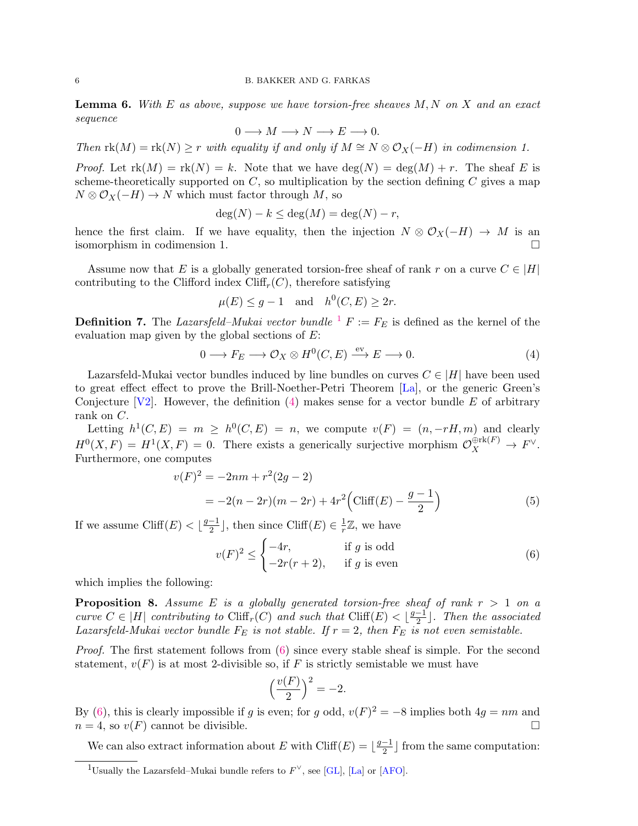<span id="page-5-4"></span>**Lemma 6.** With E as above, suppose we have torsion-free sheaves  $M, N$  on X and an exact sequence

$$
0 \longrightarrow M \longrightarrow N \longrightarrow E \longrightarrow 0.
$$

Then  $\text{rk}(M) = \text{rk}(N) \geq r$  with equality if and only if  $M \cong N \otimes \mathcal{O}_X(-H)$  in codimension 1.

*Proof.* Let  $rk(M) = rk(N) = k$ . Note that we have  $deg(N) = deg(M) + r$ . The sheaf E is scheme-theoretically supported on  $C$ , so multiplication by the section defining  $C$  gives a map  $N \otimes \mathcal{O}_X(-H) \to N$  which must factor through  $M$ , so

$$
\deg(N) - k \le \deg(M) = \deg(N) - r,
$$

hence the first claim. If we have equality, then the injection  $N \otimes \mathcal{O}_X(-H) \to M$  is an isomorphism in codimension 1.

Assume now that E is a globally generated torsion-free sheaf of rank r on a curve  $C \in |H|$ contributing to the Clifford index  $Cliff_r(C)$ , therefore satisfying

$$
\mu(E) \le g - 1 \quad \text{and} \quad h^0(C, E) \ge 2r.
$$

**Definition 7.** The Lazarsfeld–Mukai vector bundle  ${}^{1}F := F_{E}$  ${}^{1}F := F_{E}$  ${}^{1}F := F_{E}$  is defined as the kernel of the evaluation map given by the global sections of  $E$ :

<span id="page-5-1"></span>
$$
0 \longrightarrow F_E \longrightarrow \mathcal{O}_X \otimes H^0(C, E) \xrightarrow{\text{ev}} E \longrightarrow 0. \tag{4}
$$

Lazarsfeld-Mukai vector bundles induced by line bundles on curves  $C \in |H|$  have been used to great effect effect to prove the Brill-Noether-Petri Theorem [\[La\]](#page-13-2), or the generic Green's Conjecture [\[V2\]](#page-13-0). However, the definition [\(4\)](#page-5-1) makes sense for a vector bundle E of arbitrary rank on C.

Letting  $h^1(C, E) = m \geq h^0(C, E) = n$ , we compute  $v(F) = (n, -rH, m)$  and clearly  $H^0(X, F) = H^1(X, F) = 0$ . There exists a generically surjective morphism  $\mathcal{O}_X^{\oplus \text{rk}(F)} \to F^{\vee}$ . Furthermore, one computes

$$
v(F)^{2} = -2nm + r^{2}(2g - 2)
$$
  
= -2(n - 2r)(m - 2r) + 4r^{2} (Cliff(E) - \frac{g - 1}{2}) (5)

If we assume Cliff(E)  $\lt \frac{g-1}{2}$  $\frac{-1}{2}$ , then since Cliff $(E) \in \frac{1}{r}$  $\frac{1}{r}\mathbb{Z}$ , we have

<span id="page-5-3"></span><span id="page-5-2"></span>
$$
v(F)^{2} \leq \begin{cases} -4r, & \text{if } g \text{ is odd} \\ -2r(r+2), & \text{if } g \text{ is even} \end{cases}
$$
 (6)

which implies the following:

**Proposition 8.** Assume E is a globally generated torsion-free sheaf of rank  $r > 1$  on a curve  $C \in |H|$  contributing to Cliff<sub>r</sub>(C) and such that Cliff(E)  $\leq \lfloor \frac{g-1}{2} \rfloor$  $\frac{-1}{2}$ . Then the associated Lazarsfeld-Mukai vector bundle  $F_E$  is not stable. If  $r = 2$ , then  $F_E$  is not even semistable.

Proof. The first statement follows from  $(6)$  since every stable sheaf is simple. For the second statement,  $v(F)$  is at most 2-divisible so, if F is strictly semistable we must have

$$
\left(\frac{v(F)}{2}\right)^2 = -2.
$$

By [\(6\)](#page-5-2), this is clearly impossible if g is even; for g odd,  $v(F)^2 = -8$  implies both  $4g = nm$  and  $n = 4$ , so  $v(F)$  cannot be divisible.

We can also extract information about E with Cliff(E) =  $\frac{g-1}{2}$  $\frac{-1}{2}$  from the same computation:

<span id="page-5-0"></span><sup>&</sup>lt;sup>1</sup>Usually the Lazarsfeld–Mukai bundle refers to  $F^{\vee}$ , see [\[GL\]](#page-12-1), [\[La\]](#page-13-2) or [\[AFO\]](#page-12-12).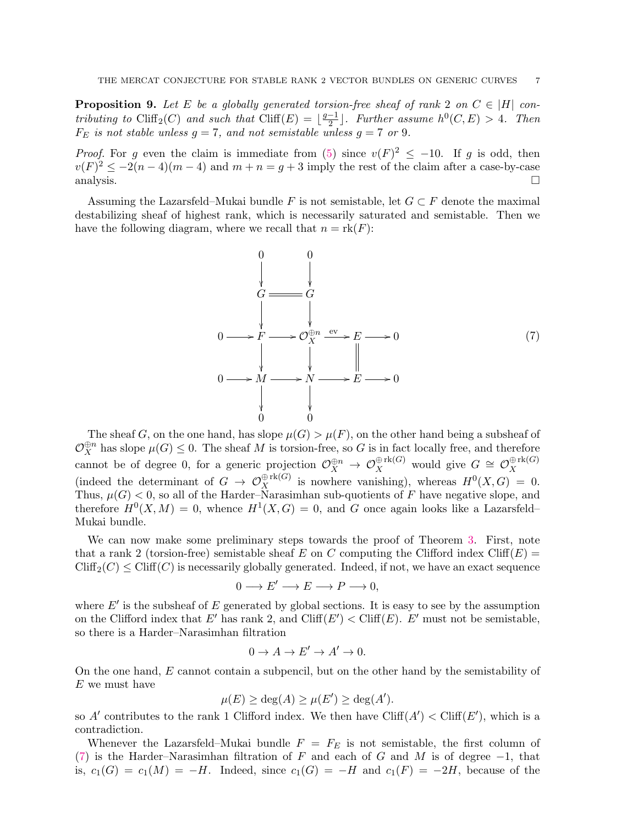**Proposition 9.** Let E be a globally generated torsion-free sheaf of rank 2 on  $C \in |H|$  contributing to Cliff<sub>2</sub>(C) and such that Cliff(E) =  $\frac{g-1}{2}$  $\frac{-1}{2}$ . Further assume  $h^0(C, E) > 4$ . Then  $F_E$  is not stable unless  $g = 7$ , and not semistable unless  $g = 7$  or 9.

*Proof.* For g even the claim is immediate from [\(5\)](#page-5-3) since  $v(F)^2 \le -10$ . If g is odd, then  $v(F)^2 \leq -2(n-4)(m-4)$  and  $m+n=g+3$  imply the rest of the claim after a case-by-case analysis.

Assuming the Lazarsfeld–Mukai bundle F is not semistable, let  $G \subset F$  denote the maximal destabilizing sheaf of highest rank, which is necessarily saturated and semistable. Then we have the following diagram, where we recall that  $n = \text{rk}(F)$ :

<span id="page-6-0"></span>

The sheaf G, on the one hand, has slope  $\mu(G) > \mu(F)$ , on the other hand being a subsheaf of  $\mathcal{O}_X^{\oplus n}$  has slope  $\mu(G) \leq 0$ . The sheaf M is torsion-free, so G is in fact locally free, and therefore cannot be of degree 0, for a generic projection  $\mathcal{O}_X^{\oplus n} \to \mathcal{O}_X^{\oplus \text{rk}(G)}$  would give  $G \cong \mathcal{O}_X^{\oplus \text{rk}(G)}$ (indeed the determinant of  $G \to \mathcal{O}_X^{\oplus \text{rk}(G)}$  is nowhere vanishing), whereas  $H^0(X, G) = 0$ . Thus,  $\mu(G) < 0$ , so all of the Harder–Narasimhan sub-quotients of F have negative slope, and therefore  $H^0(X, M) = 0$ , whence  $H^1(X, G) = 0$ , and G once again looks like a Lazarsfeld– Mukai bundle.

We can now make some preliminary steps towards the proof of Theorem [3.](#page-2-0) First, note that a rank 2 (torsion-free) semistable sheaf E on C computing the Clifford index Cliff(E) =  $Cliff_2(C) \leq Cliff(C)$  is necessarily globally generated. Indeed, if not, we have an exact sequence

$$
0 \longrightarrow E' \longrightarrow E \longrightarrow P \longrightarrow 0,
$$

where  $E'$  is the subsheaf of  $E$  generated by global sections. It is easy to see by the assumption on the Clifford index that E' has rank 2, and Cliff(E') < Cliff(E). E' must not be semistable, so there is a Harder–Narasimhan filtration

$$
0 \to A \to E' \to A' \to 0.
$$

On the one hand, E cannot contain a subpencil, but on the other hand by the semistability of E we must have

$$
\mu(E) \ge \deg(A) \ge \mu(E') \ge \deg(A').
$$

so A' contributes to the rank 1 Clifford index. We then have  $\text{Cliff}(A') < \text{Cliff}(E')$ , which is a contradiction.

Whenever the Lazarsfeld–Mukai bundle  $F = F_E$  is not semistable, the first column of [\(7\)](#page-6-0) is the Harder–Narasimhan filtration of F and each of G and M is of degree  $-1$ , that is,  $c_1(G) = c_1(M) = -H$ . Indeed, since  $c_1(G) = -H$  and  $c_1(F) = -2H$ , because of the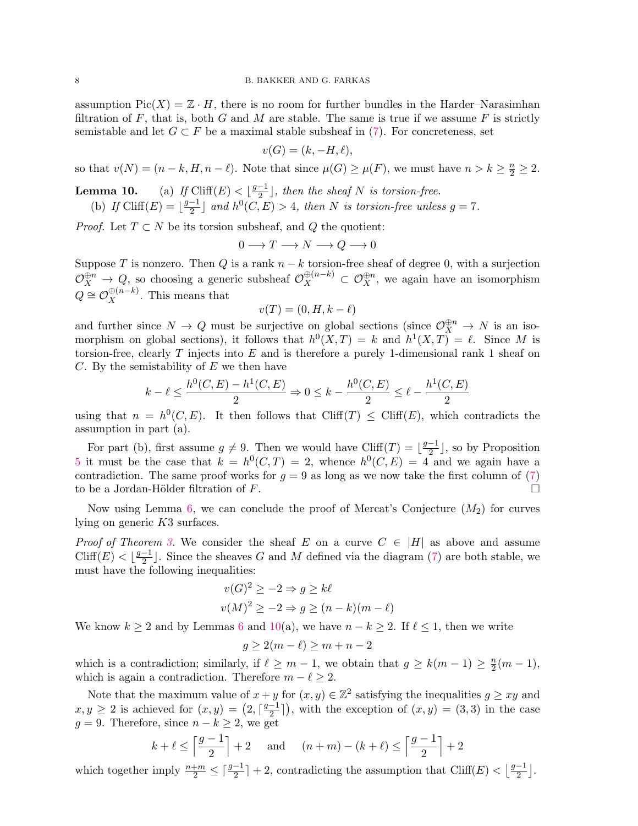assumption  $Pic(X) = \mathbb{Z} \cdot H$ , there is no room for further bundles in the Harder–Narasimhan filtration of F, that is, both G and M are stable. The same is true if we assume F is strictly semistable and let  $G \subset F$  be a maximal stable subsheaf in [\(7\)](#page-6-0). For concreteness, set

$$
v(G) = (k, -H, \ell),
$$

so that  $v(N) = (n - k, H, n - \ell)$ . Note that since  $\mu(G) \ge \mu(F)$ , we must have  $n > k \ge \frac{n}{2} \ge 2$ .

**Lemma 10.** (a) If Cliff(E) <  $\left|\frac{g-1}{2}\right|$  $\frac{-1}{2}$ , then the sheaf N is torsion-free.

(b) If 
$$
Cliff(E) = \lfloor \frac{g-1}{2} \rfloor
$$
 and  $h^0(C, E) > 4$ , then N is torsion-free unless  $g = 7$ .

*Proof.* Let  $T \subset N$  be its torsion subsheaf, and  $Q$  the quotient:

$$
0\longrightarrow T\longrightarrow N\longrightarrow Q\longrightarrow 0
$$

Suppose T is nonzero. Then Q is a rank  $n - k$  torsion-free sheaf of degree 0, with a surjection  $\mathcal{O}_X^{\oplus n} \to Q$ , so choosing a generic subsheaf  $\mathcal{O}_X^{\oplus (n-k)} \subset \mathcal{O}_X^{\oplus n}$ , we again have an isomorphism  $Q \cong \mathcal{O}_X^{\oplus (n-k)}$ . This means that

$$
v(T) = (0, H, k - \ell)
$$

and further since  $N \to Q$  must be surjective on global sections (since  $\mathcal{O}_X^{\oplus n} \to N$  is an isomorphism on global sections), it follows that  $h^0(X,T) = k$  and  $h^1(X,T) = \ell$ . Since M is torsion-free, clearly  $T$  injects into  $E$  and is therefore a purely 1-dimensional rank 1 sheaf on  $C.$  By the semistability of  $E$  we then have

$$
k - \ell \le \frac{h^0(C, E) - h^1(C, E)}{2} \Rightarrow 0 \le k - \frac{h^0(C, E)}{2} \le \ell - \frac{h^1(C, E)}{2}
$$

using that  $n = h^0(C, E)$ . It then follows that Cliff(T)  $\leq$  Cliff(E), which contradicts the assumption in part (a).

For part (b), first assume  $g \neq 9$ . Then we would have Cliff(T) =  $\frac{g-1}{2}$  $\frac{-1}{2}$ , so by Proposition [5](#page-4-0) it must be the case that  $k = h^0(C,T) = 2$ , whence  $h^0(C,E) = 4$  and we again have a contradiction. The same proof works for  $q = 9$  as long as we now take the first column of [\(7\)](#page-6-0) to be a Jordan-Hölder filtration of  $F$ .

Now using Lemma [6,](#page-5-4) we can conclude the proof of Mercat's Conjecture  $(M_2)$  for curves lying on generic K3 surfaces.

*Proof of Theorem [3.](#page-2-0)* We consider the sheaf E on a curve  $C \in |H|$  as above and assume Cliff(E) <  $\frac{g-1}{2}$  $\frac{-1}{2}$ . Since the sheaves G and M defined via the diagram [\(7\)](#page-6-0) are both stable, we must have the following inequalities:

$$
v(G)^{2} \ge -2 \Rightarrow g \ge k\ell
$$
  

$$
v(M)^{2} \ge -2 \Rightarrow g \ge (n - k)(m - \ell)
$$

We know  $k \ge 2$  and by Lemmas [6](#page-5-4) and [10\(](#page-0-1)a), we have  $n - k \ge 2$ . If  $\ell \le 1$ , then we write

$$
g \ge 2(m - \ell) \ge m + n - 2
$$

which is a contradiction; similarly, if  $\ell \geq m - 1$ , we obtain that  $g \geq k(m - 1) \geq \frac{n}{2}$  $\frac{n}{2}(m-1),$ which is again a contradiction. Therefore  $m - \ell \geq 2$ .

Note that the maximum value of  $x + y$  for  $(x, y) \in \mathbb{Z}^2$  satisfying the inequalities  $g \geq xy$  and  $x, y \geq 2$  is achieved for  $(x, y) = \left(2, \frac{g-1}{2}\right)$  $\left(\frac{-1}{2}\right)$ , with the exception of  $(x, y) = (3, 3)$  in the case  $g = 9$ . Therefore, since  $n - k \geq 2$ , we get

$$
k + \ell \le \left\lceil \frac{g-1}{2} \right\rceil + 2
$$
 and  $(n+m) - (k + \ell) \le \left\lceil \frac{g-1}{2} \right\rceil + 2$ 

which together imply  $\frac{n+m}{2} \leq \lceil \frac{g-1}{2} \rceil + 2$ , contradicting the assumption that Cliff(E)  $\lt \lfloor \frac{g-1}{2} \rfloor$  $\frac{-1}{2}$ .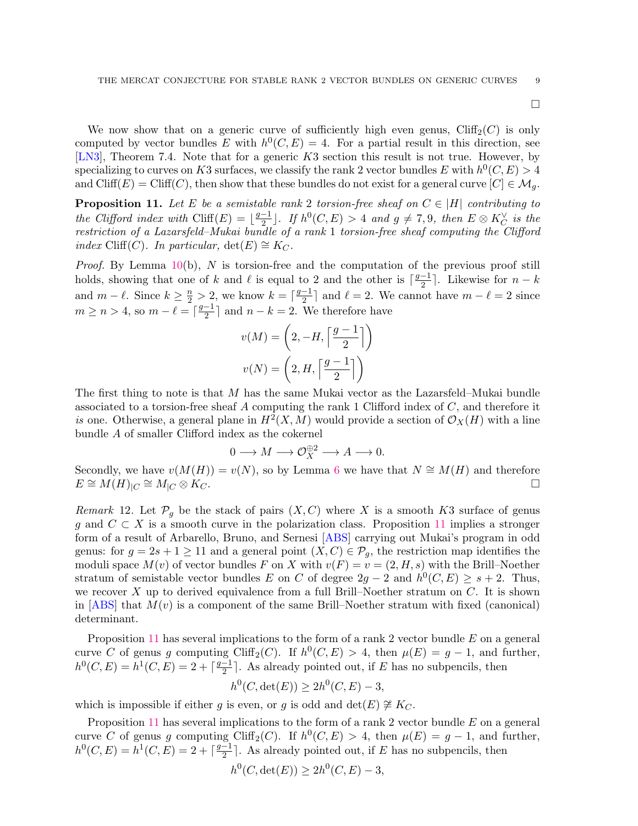$\Box$ 

We now show that on a generic curve of sufficiently high even genus,  $Cliff_2(C)$  is only computed by vector bundles E with  $h^0(C, E) = 4$ . For a partial result in this direction, see [\[LN3\]](#page-12-7), Theorem 7.4. Note that for a generic K3 section this result is not true. However, by specializing to curves on K3 surfaces, we classify the rank 2 vector bundles E with  $h^0(C, E) > 4$ and Cliff(E) = Cliff(C), then show that these bundles do not exist for a general curve  $[C] \in \mathcal{M}_q$ .

<span id="page-8-0"></span>**Proposition 11.** Let E be a semistable rank 2 torsion-free sheaf on  $C \in |H|$  contributing to the Clifford index with Cliff(E) =  $\frac{g-1}{2}$  $\frac{-1}{2}$ ]. If  $h^0(C,E) > 4$  and  $g \neq 7,9$ , then  $E \otimes K_C^{\vee}$  is the restriction of a Lazarsfeld–Mukai bundle of a rank 1 torsion-free sheaf computing the Clifford *index* Cliff(*C*). In particular, det(*E*)  $\cong$  K<sub>*C*</sub>.

*Proof.* By Lemma  $10(b)$  $10(b)$ , N is torsion-free and the computation of the previous proof still holds, showing that one of k and l is equal to 2 and the other is  $\lceil \frac{g-1}{2} \rceil$ . Likewise for  $n - k$ 2 and  $m - \ell$ . Since  $k \geq \frac{n}{2} > 2$ , we know  $k = \lceil \frac{g-1}{2} \rceil$  $\frac{-1}{2}$  and  $\ell = 2$ . We cannot have  $m - \ell = 2$  since  $m \geq n > 4$ , so  $m - \ell = \lceil \frac{g-1}{2} \rceil$  $\frac{-1}{2}$  and  $n - k = 2$ . We therefore have

$$
v(M) = \left(2, -H, \left\lceil \frac{g-1}{2} \right\rceil \right)
$$

$$
v(N) = \left(2, H, \left\lceil \frac{g-1}{2} \right\rceil \right)
$$

The first thing to note is that M has the same Mukai vector as the Lazarsfeld–Mukai bundle associated to a torsion-free sheaf  $A$  computing the rank 1 Clifford index of  $C$ , and therefore it is one. Otherwise, a general plane in  $H^2(X, M)$  would provide a section of  $\mathcal{O}_X(H)$  with a line bundle A of smaller Clifford index as the cokernel

$$
0\longrightarrow M\longrightarrow \mathcal{O}_X^{\oplus 2}\longrightarrow A\longrightarrow 0.
$$

Secondly, we have  $v(M(H)) = v(N)$ , so by Lemma [6](#page-5-4) we have that  $N \cong M(H)$  and therefore  $E \cong M(H)_{|C} \cong M_{|C} \otimes K_C.$ 

Remark 12. Let  $\mathcal{P}_g$  be the stack of pairs  $(X, C)$  where X is a smooth K3 surface of genus g and  $C \subset X$  is a smooth curve in the polarization class. Proposition [11](#page-8-0) implies a stronger form of a result of Arbarello, Bruno, and Sernesi [\[ABS\]](#page-12-15) carrying out Mukai's program in odd genus: for  $g = 2s + 1 \ge 11$  and a general point  $(X, C) \in \mathcal{P}_q$ , the restriction map identifies the moduli space  $M(v)$  of vector bundles F on X with  $v(F) = v = (2, H, s)$  with the Brill–Noether stratum of semistable vector bundles E on C of degree  $2g - 2$  and  $h^0(C, E) \geq s + 2$ . Thus, we recover X up to derived equivalence from a full Brill–Noether stratum on  $C$ . It is shown in  $[ABS]$  that  $M(v)$  is a component of the same Brill–Noether stratum with fixed (canonical) determinant.

Proposition [11](#page-8-0) has several implications to the form of a rank 2 vector bundle E on a general curve C of genus g computing Cliff<sub>2</sub>(C). If  $h^0(C, E) > 4$ , then  $\mu(E) = g - 1$ , and further,  $h^0(C, E) = h^1(C, E) = 2 + \lceil \frac{g-1}{2} \rceil$  $\frac{-1}{2}$ . As already pointed out, if E has no subpencils, then

$$
h^0(C, \det(E)) \ge 2h^0(C, E) - 3,
$$

which is impossible if either g is even, or g is odd and det $(E) \not\cong K_C$ .

Proposition [11](#page-8-0) has several implications to the form of a rank 2 vector bundle E on a general curve C of genus g computing Cliff<sub>2</sub>(C). If  $h^0(C, E) > 4$ , then  $\mu(E) = g - 1$ , and further,  $h^0(C, E) = h^1(C, E) = 2 + \lceil \frac{g-1}{2} \rceil$  $\frac{-1}{2}$ . As already pointed out, if E has no subpencils, then

$$
h^0(C, \det(E)) \ge 2h^0(C, E) - 3,
$$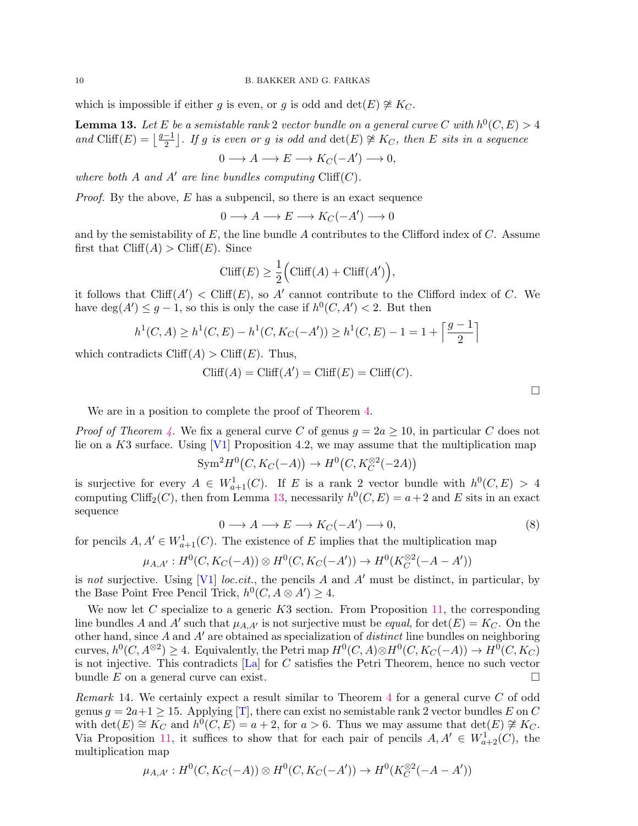which is impossible if either g is even, or g is odd and det $(E) \not\cong K_C$ .

<span id="page-9-0"></span>**Lemma 13.** Let E be a semistable rank 2 vector bundle on a general curve C with  $h^0(C, E) > 4$ and Cliff(E) =  $\frac{g-1}{2}$  $\frac{-1}{2}$ . If g is even or g is odd and  $\det(E) \not\cong K_C$ , then E sits in a sequence

$$
0 \longrightarrow A \longrightarrow E \longrightarrow K_C(-A') \longrightarrow 0,
$$

where both A and A' are line bundles computing  $Cliff(C)$ .

*Proof.* By the above,  $E$  has a subpencil, so there is an exact sequence

 $0 \longrightarrow A \longrightarrow E \longrightarrow K_C(-A') \longrightarrow 0$ 

and by the semistability of  $E$ , the line bundle  $A$  contributes to the Clifford index of  $C$ . Assume first that  $Cliff(A) > Cliff(E)$ . Since

$$
\text{Cliff}(E) \ge \frac{1}{2} \Big( \text{Cliff}(A) + \text{Cliff}(A') \Big),
$$

it follows that  $Cliff(A') < Cliff(E)$ , so A' cannot contribute to the Clifford index of C. We have  $deg(A') \leq g-1$ , so this is only the case if  $h^0(C, A') < 2$ . But then

$$
h^1(C, A) \ge h^1(C, E) - h^1(C, K_C(-A')) \ge h^1(C, E) - 1 = 1 + \left\lceil \frac{g-1}{2} \right\rceil
$$

which contradicts  $Cliff(A) > Cliff(E)$ . Thus,

$$
\text{Cliff}(A) = \text{Cliff}(A') = \text{Cliff}(E) = \text{Cliff}(C).
$$

We are in a position to complete the proof of Theorem [4.](#page-2-1)

*Proof of Theorem [4.](#page-2-1)* We fix a general curve C of genus  $q = 2a > 10$ , in particular C does not lie on a  $K3$  surface. Using [\[V1\]](#page-13-6) Proposition 4.2, we may assume that the multiplication map

$$
\text{Sym}^2 H^0(C, K_C(-A)) \to H^0(C, K_C^{\otimes 2}(-2A))
$$

is surjective for every  $A \in W_{a+1}^1(C)$ . If E is a rank 2 vector bundle with  $h^0(C, E) > 4$ computing Cliff<sub>2</sub>(*C*), then from Lemma [13,](#page-9-0) necessarily  $h^0(C, E) = a + 2$  and E sits in an exact sequence

$$
0 \longrightarrow A \longrightarrow E \longrightarrow K_C(-A') \longrightarrow 0,
$$
\n(8)

for pencils  $A, A' \in W_{a+1}^1(C)$ . The existence of E implies that the multiplication map

$$
\mu_{A,A'}: H^0(C, K_C(-A)) \otimes H^0(C, K_C(-A')) \to H^0(K_C^{\otimes 2}(-A - A'))
$$

is not surjective. Using [\[V1\]](#page-13-6) loc.cit., the pencils A and A' must be distinct, in particular, by the Base Point Free Pencil Trick,  $h^0(C, A \otimes A') \geq 4$ .

We now let C specialize to a generic  $K3$  section. From Proposition [11,](#page-8-0) the corresponding line bundles A and A' such that  $\mu_{A,A'}$  is not surjective must be *equal*, for  $\det(E) = K_C$ . On the other hand, since  $A$  and  $A'$  are obtained as specialization of *distinct* line bundles on neighboring curves,  $h^0(C, A^{\otimes 2}) \geq 4$ . Equivalently, the Petri map  $H^0(C, A) \otimes H^0(C, K_C(-A)) \to H^0(C, K_C)$ is not injective. This contradicts  $[L<sub>a</sub>]$  for C satisfies the Petri Theorem, hence no such vector bundle E on a general curve can exist.

Remark 14. We certainly expect a result similar to Theorem [4](#page-2-1) for a general curve C of odd genus  $g = 2a+1 \geq 15$ . Applying [\[T\]](#page-13-7), there can exist no semistable rank 2 vector bundles E on C with  $\det(E) \cong K_C$  and  $\hat{h}^0(C, E) = a + 2$ , for  $a > 6$ . Thus we may assume that  $\det(E) \ncong K_C$ . Via Proposition [11,](#page-8-0) it suffices to show that for each pair of pencils  $A, A' \in W_{a+2}^1(C)$ , the multiplication map

$$
\mu_{A,A'}: H^0(C, K_C(-A)) \otimes H^0(C, K_C(-A')) \to H^0(K_C^{\otimes 2}(-A - A'))
$$

 $\Box$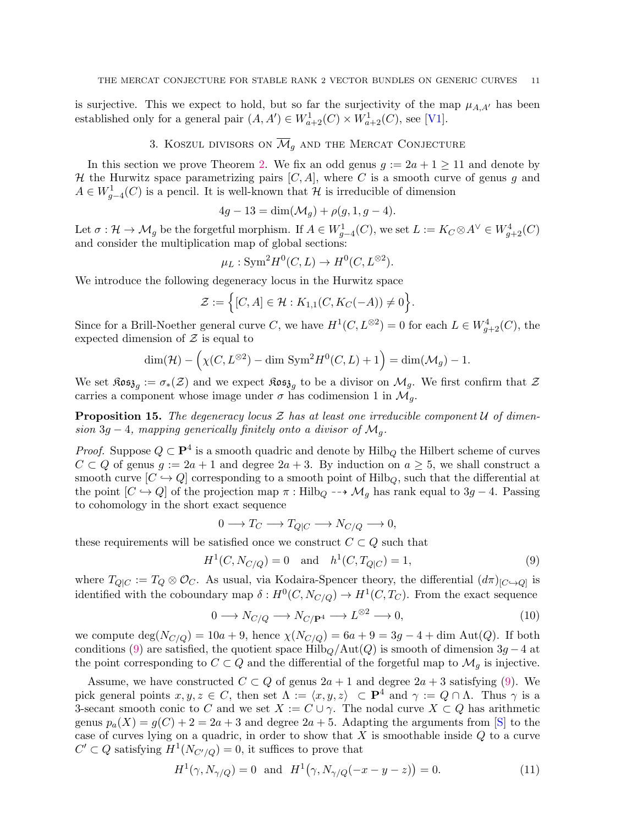is surjective. This we expect to hold, but so far the surjectivity of the map  $\mu_{A,A'}$  has been established only for a general pair  $(A, A') \in W_{a+2}^1(C) \times W_{a+2}^1(C)$ , see [\[V1\]](#page-13-6).

## 3. KOSZUL DIVISORS ON  $\overline{\mathcal{M}}_q$  and the Mercat Conjecture

In this section we prove Theorem [2.](#page-1-0) We fix an odd genus  $g := 2a + 1 \ge 11$  and denote by H the Hurwitz space parametrizing pairs  $[C, A]$ , where C is a smooth curve of genus g and  $A \in W_{g-4}^1(C)$  is a pencil. It is well-known that  $\mathcal H$  is irreducible of dimension

$$
4g - 13 = \dim(\mathcal{M}_g) + \rho(g, 1, g - 4).
$$

Let  $\sigma: \mathcal{H} \to \mathcal{M}_g$  be the forgetful morphism. If  $A \in W^1_{g-4}(C)$ , we set  $L := K_C \otimes A^{\vee} \in W^4_{g+2}(C)$ and consider the multiplication map of global sections:

$$
\mu_L: \text{Sym}^2 H^0(C, L) \to H^0(C, L^{\otimes 2}).
$$

We introduce the following degeneracy locus in the Hurwitz space

$$
\mathcal{Z} := \Big\{ [C, A] \in \mathcal{H} : K_{1,1}(C, K_C(-A)) \neq 0 \Big\}.
$$

Since for a Brill-Noether general curve C, we have  $H^1(C, L^{\otimes 2}) = 0$  for each  $L \in W^4_{g+2}(C)$ , the expected dimension of  $Z$  is equal to

$$
\dim(\mathcal{H}) - \left(\chi(C, L^{\otimes 2}) - \dim \text{Sym}^2 H^0(C, L) + 1\right) = \dim(\mathcal{M}_g) - 1.
$$

We set  $\mathfrak{Kos}_{\mathfrak{z}_g} := \sigma_*(\mathcal{Z})$  and we expect  $\mathfrak{Kos}_{\mathfrak{z}_g}$  to be a divisor on  $\mathcal{M}_g$ . We first confirm that  $\mathcal Z$ carries a component whose image under  $\sigma$  has codimension 1 in  $\mathcal{M}_q$ .

<span id="page-10-2"></span>**Proposition 15.** The degeneracy locus  $\mathcal Z$  has at least one irreducible component  $\mathcal U$  of dimension 3g − 4, mapping generically finitely onto a divisor of  $\mathcal{M}_q$ .

*Proof.* Suppose  $Q \subset \mathbf{P}^4$  is a smooth quadric and denote by  $\text{Hilb}_Q$  the Hilbert scheme of curves  $C \subset Q$  of genus  $g := 2a + 1$  and degree  $2a + 3$ . By induction on  $a \geq 5$ , we shall construct a smooth curve  $[C \hookrightarrow Q]$  corresponding to a smooth point of Hilb<sub>Q</sub>, such that the differential at the point  $[C \hookrightarrow Q]$  of the projection map  $\pi : Hilb_Q \dashrightarrow \mathcal{M}_g$  has rank equal to 3g − 4. Passing to cohomology in the short exact sequence

$$
0 \longrightarrow T_C \longrightarrow T_{Q|C} \longrightarrow N_{C/Q} \longrightarrow 0,
$$

these requirements will be satisfied once we construct  $C \subset Q$  such that

<span id="page-10-0"></span>
$$
H^{1}(C, N_{C/Q}) = 0 \text{ and } h^{1}(C, T_{Q|C}) = 1,
$$
\n(9)

where  $T_{Q|C} := T_Q \otimes \mathcal{O}_C$ . As usual, via Kodaira-Spencer theory, the differential  $(d\pi)_{[C \hookrightarrow Q]}$  is identified with the coboundary map  $\delta: H^0(C, N_{C/Q}) \to H^1(C, T_C)$ . From the exact sequence

$$
0 \longrightarrow N_{C/Q} \longrightarrow N_{C/\mathbf{P}^4} \longrightarrow L^{\otimes 2} \longrightarrow 0,
$$
\n(10)

we compute  $\deg(N_{C/Q}) = 10a + 9$ , hence  $\chi(N_{C/Q}) = 6a + 9 = 3g - 4 + \dim \text{Aut}(Q)$ . If both conditions [\(9\)](#page-10-0) are satisfied, the quotient space Hilb $_Q/\text{Aut}(Q)$  is smooth of dimension  $3g - 4$  at the point corresponding to  $C \subset Q$  and the differential of the forgetful map to  $\mathcal{M}_g$  is injective.

Assume, we have constructed  $C \subset Q$  of genus  $2a + 1$  and degree  $2a + 3$  satisfying [\(9\)](#page-10-0). We pick general points  $x, y, z \in C$ , then set  $\Lambda := \langle x, y, z \rangle \subset \mathbf{P}^4$  and  $\gamma := Q \cap \Lambda$ . Thus  $\gamma$  is a 3-secant smooth conic to C and we set  $X := C \cup \gamma$ . The nodal curve  $X \subset Q$  has arithmetic genus  $p_a(X) = g(C) + 2 = 2a + 3$  and degree  $2a + 5$ . Adapting the arguments from [\[S\]](#page-13-8) to the case of curves lying on a quadric, in order to show that  $X$  is smoothable inside  $Q$  to a curve  $C' \subset Q$  satisfying  $H^1(N_{C'/Q}) = 0$ , it suffices to prove that

<span id="page-10-1"></span>
$$
H^{1}(\gamma, N_{\gamma/Q}) = 0 \text{ and } H^{1}(\gamma, N_{\gamma/Q}(-x - y - z)) = 0.
$$
 (11)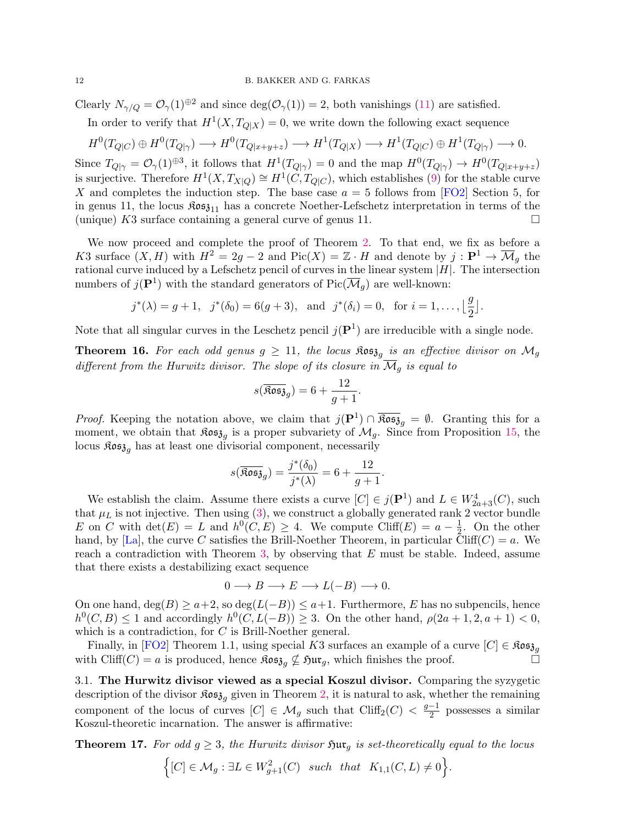Clearly  $N_{\gamma/Q} = \mathcal{O}_{\gamma}(1)^{\oplus 2}$  and since  $\deg(\mathcal{O}_{\gamma}(1)) = 2$ , both vanishings [\(11\)](#page-10-1) are satisfied.

In order to verify that  $H^1(X, T_{Q|X}) = 0$ , we write down the following exact sequence

$$
H^0(T_{Q|C}) \oplus H^0(T_{Q|\gamma}) \longrightarrow H^0(T_{Q|x+y+z}) \longrightarrow H^1(T_{Q|X}) \longrightarrow H^1(T_{Q|C}) \oplus H^1(T_{Q|\gamma}) \longrightarrow 0.
$$

Since  $T_{Q|\gamma} = \mathcal{O}_{\gamma}(1)^{\oplus 3}$ , it follows that  $H^1(T_{Q|\gamma}) = 0$  and the map  $H^0(T_{Q|\gamma}) \to H^0(T_{Q|x+y+z})$ is surjective. Therefore  $H^1(X, T_{X|Q}) \cong H^1(\check{C}, T_{Q|C})$ , which establishes [\(9\)](#page-10-0) for the stable curve X and completes the induction step. The base case  $a = 5$  follows from [\[FO2\]](#page-12-5) Section 5, for in genus 11, the locus  $\mathfrak{K}$ os<sub>311</sub> has a concrete Noether-Lefschetz interpretation in terms of the (unique) K3 surface containing a general curve of genus 11.

We now proceed and complete the proof of Theorem [2.](#page-1-0) To that end, we fix as before a K3 surface  $(X, H)$  with  $H^2 = 2g - 2$  and  $Pic(X) = \mathbb{Z} \cdot H$  and denote by  $j : \mathbf{P}^1 \to \overline{\mathcal{M}}_g$  the rational curve induced by a Lefschetz pencil of curves in the linear system  $|H|$ . The intersection numbers of  $j(\mathbf{P}^1)$  with the standard generators of  $\text{Pic}(\overline{\mathcal{M}}_g)$  are well-known:

$$
j^*(\lambda) = g + 1
$$
,  $j^*(\delta_0) = 6(g+3)$ , and  $j^*(\delta_i) = 0$ , for  $i = 1, ..., \lfloor \frac{g}{2} \rfloor$ .

Note that all singular curves in the Leschetz pencil  $j(\mathbf{P}^1)$  are irreducible with a single node.

**Theorem 16.** For each odd genus  $g \ge 11$ , the locus  $\Re \mathfrak{ss}_{\mathfrak{z}_g}$  is an effective divisor on  $\mathcal{M}_g$ different from the Hurwitz divisor. The slope of its closure in  $\overline{\mathcal{M}}_q$  is equal to

$$
s(\overline{\text{Res}}_{3g}) = 6 + \frac{12}{g+1}.
$$

*Proof.* Keeping the notation above, we claim that  $j(\mathbf{P}^1) \cap \overline{\mathfrak{Kos}}_{g} = \emptyset$ . Granting this for a moment, we obtain that  $\mathfrak{Kos}_{\mathfrak{z}_g}$  is a proper subvariety of  $\mathcal{M}_g$ . Since from Proposition [15,](#page-10-2) the locus  $\mathfrak{Kos}_{\mathfrak{z}_q}$  has at least one divisorial component, necessarily

$$
s(\overline{\text{Res}}_{g}) = \frac{j^*(\delta_0)}{j^*(\lambda)} = 6 + \frac{12}{g+1}.
$$

We establish the claim. Assume there exists a curve  $[C] \in j(\mathbf{P}^1)$  and  $L \in W^4_{2a+3}(C)$ , such that  $\mu_L$  is not injective. Then using [\(3\)](#page-3-1), we construct a globally generated rank 2 vector bundle E on C with  $\det(E) = L$  and  $h^0(C, E) \geq 4$ . We compute  $\text{Cliff}(E) = a - \frac{1}{2}$  $\frac{1}{2}$ . On the other hand, by [\[La\]](#page-13-2), the curve C satisfies the Brill-Noether Theorem, in particular Cliff(C) = a. We reach a contradiction with Theorem [3,](#page-2-0) by observing that  $E$  must be stable. Indeed, assume that there exists a destabilizing exact sequence

$$
0 \longrightarrow B \longrightarrow E \longrightarrow L(-B) \longrightarrow 0.
$$

On one hand,  $\deg(B) \ge a+2$ , so  $\deg(L(-B)) \le a+1$ . Furthermore, E has no subpencils, hence  $h^0(C, B) \leq 1$  and accordingly  $h^0(C, L(-B)) \geq 3$ . On the other hand,  $\rho(2a + 1, 2, a + 1) < 0$ , which is a contradiction, for C is Brill-Noether general.

Finally, in [\[FO2\]](#page-12-5) Theorem 1.1, using special K3 surfaces an example of a curve  $[C] \in \mathfrak{Kos}_{\mathfrak{z}_q}$ with Cliff(C) = a is produced, hence  $\Re \mathfrak{ss}_{\mathfrak{z}_q} \nsubseteq \Im \mathfrak{u}r_g$ , which finishes the proof.

3.1. The Hurwitz divisor viewed as a special Koszul divisor. Comparing the syzygetic description of the divisor  $\mathfrak{K}o\mathfrak{ss}_{a}$  given in Theorem [2,](#page-1-0) it is natural to ask, whether the remaining component of the locus of curves  $[C] \in \mathcal{M}_g$  such that  $Cliff_2(C) < \frac{g-1}{2}$  $\frac{-1}{2}$  possesses a similar Koszul-theoretic incarnation. The answer is affirmative:

<span id="page-11-0"></span>**Theorem 17.** For odd  $g \geq 3$ , the Hurwitz divisor  $\tilde{y}_{\text{u},q}$  is set-theoretically equal to the locus

$$
\Big\{ [C] \in \mathcal{M}_g : \exists L \in W_{g+1}^2(C) \quad such \quad that \quad K_{1,1}(C,L) \neq 0 \Big\}.
$$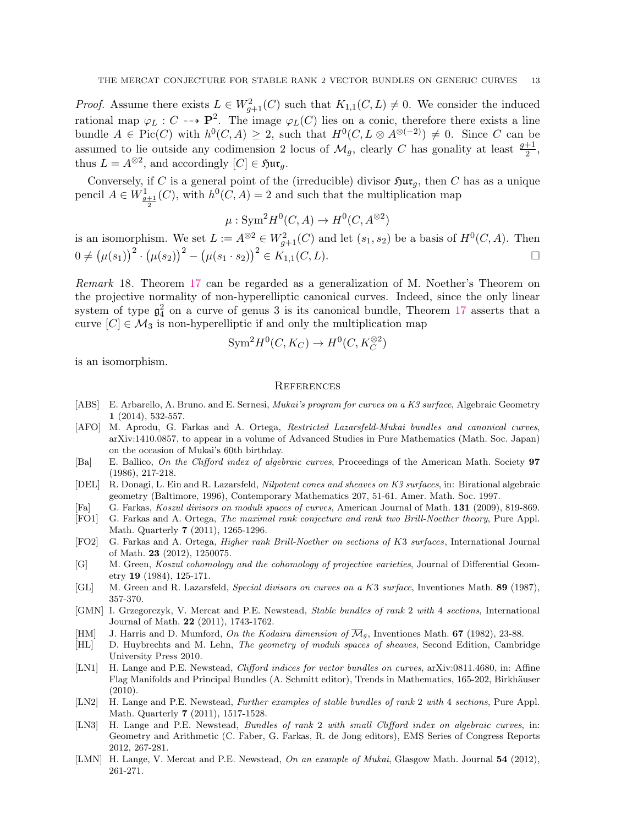*Proof.* Assume there exists  $L \in W_{g+1}^2(C)$  such that  $K_{1,1}(C, L) \neq 0$ . We consider the induced rational map  $\varphi_L : C \dashrightarrow \mathbf{P}^2$ . The image  $\varphi_L(C)$  lies on a conic, therefore there exists a line bundle  $A \in Pic(C)$  with  $h^0(C, A) \geq 2$ , such that  $H^0(C, L \otimes A^{\otimes (-2)}) \neq 0$ . Since C can be assumed to lie outside any codimension 2 locus of  $\mathcal{M}_g$ , clearly C has gonality at least  $\frac{g+1}{2}$ , thus  $L = A^{\otimes 2}$ , and accordingly  $[C] \in \mathfrak{Hur}_g$ .

Conversely, if C is a general point of the (irreducible) divisor  $\mathfrak{Sur}_g$ , then C has as a unique pencil  $A \in W^1_{\frac{q+1}{2}}(C)$ , with  $h^0(C, A) = 2$  and such that the multiplication map

 $\mu: \text{Sym}^2 H^0(C, A) \to H^0(C, A^{\otimes 2})$ 

is an isomorphism. We set  $L := A^{\otimes 2} \in W^2_{g+1}(C)$  and let  $(s_1, s_2)$  be a basis of  $H^0(C, A)$ . Then  $0 \neq (\mu(s_1))^2 \cdot (\mu(s_2))^2 - (\mu(s_1 \cdot s_2))^2 \in K_{1,1}(C,L).$ 

Remark 18. Theorem [17](#page-11-0) can be regarded as a generalization of M. Noether's Theorem on the projective normality of non-hyperelliptic canonical curves. Indeed, since the only linear system of type  $\mathfrak{g}_4^2$  on a curve of genus 3 is its canonical bundle, Theorem [17](#page-11-0) asserts that a curve  $[C] \in \mathcal{M}_3$  is non-hyperelliptic if and only the multiplication map

$$
Sym^2 H^0(C, K_C) \to H^0(C, K_C^{\otimes 2})
$$

is an isomorphism.

#### **REFERENCES**

- <span id="page-12-15"></span>[ABS] E. Arbarello, A. Bruno. and E. Sernesi, *Mukai's program for curves on a K3 surface*, Algebraic Geometry 1 (2014), 532-557.
- <span id="page-12-12"></span>[AFO] M. Aprodu, G. Farkas and A. Ortega, Restricted Lazarsfeld-Mukai bundles and canonical curves, arXiv:1410.0857, to appear in a volume of Advanced Studies in Pure Mathematics (Math. Soc. Japan) on the occasion of Mukai's 60th birthday.
- <span id="page-12-10"></span>[Ba] E. Ballico, On the Clifford index of algebraic curves, Proceedings of the American Math. Society 97 (1986), 217-218.
- <span id="page-12-9"></span>[DEL] R. Donagi, L. Ein and R. Lazarsfeld, Nilpotent cones and sheaves on K3 surfaces, in: Birational algebraic geometry (Baltimore, 1996), Contemporary Mathematics 207, 51-61. Amer. Math. Soc. 1997.
- <span id="page-12-8"></span>[Fa] G. Farkas, Koszul divisors on moduli spaces of curves, American Journal of Math. 131 (2009), 819-869.
- <span id="page-12-4"></span>[FO1] G. Farkas and A. Ortega, The maximal rank conjecture and rank two Brill-Noether theory, Pure Appl. Math. Quarterly 7 (2011), 1265-1296.
- <span id="page-12-5"></span>[FO2] G. Farkas and A. Ortega, Higher rank Brill-Noether on sections of K3 surfaces, International Journal of Math. 23 (2012), 1250075.
- <span id="page-12-0"></span>[G] M. Green, Koszul cohomology and the cohomology of projective varieties, Journal of Differential Geometry 19 (1984), 125-171.
- <span id="page-12-1"></span>[GL] M. Green and R. Lazarsfeld, Special divisors on curves on a K3 surface, Inventiones Math. 89 (1987), 357-370.
- <span id="page-12-13"></span>[GMN] I. Grzegorczyk, V. Mercat and P.E. Newstead, Stable bundles of rank 2 with 4 sections, International Journal of Math. 22 (2011), 1743-1762.
- <span id="page-12-2"></span>[HM] J. Harris and D. Mumford, On the Kodaira dimension of  $\overline{\mathcal{M}}_g$ , Inventiones Math. 67 (1982), 23-88.
- <span id="page-12-14"></span>[HL] D. Huybrechts and M. Lehn, The geometry of moduli spaces of sheaves, Second Edition, Cambridge University Press 2010.
- <span id="page-12-3"></span>[LN1] H. Lange and P.E. Newstead, *Clifford indices for vector bundles on curves*, arXiv:0811.4680, in: Affine Flag Manifolds and Principal Bundles (A. Schmitt editor), Trends in Mathematics, 165-202, Birkhäuser (2010).
- <span id="page-12-6"></span>[LN2] H. Lange and P.E. Newstead, Further examples of stable bundles of rank 2 with 4 sections, Pure Appl. Math. Quarterly 7 (2011), 1517-1528.
- <span id="page-12-7"></span>[LN3] H. Lange and P.E. Newstead, *Bundles of rank 2 with small Clifford index on algebraic curves*, in: Geometry and Arithmetic (C. Faber, G. Farkas, R. de Jong editors), EMS Series of Congress Reports 2012, 267-281.
- <span id="page-12-11"></span>[LMN] H. Lange, V. Mercat and P.E. Newstead, On an example of Mukai, Glasgow Math. Journal 54 (2012), 261-271.